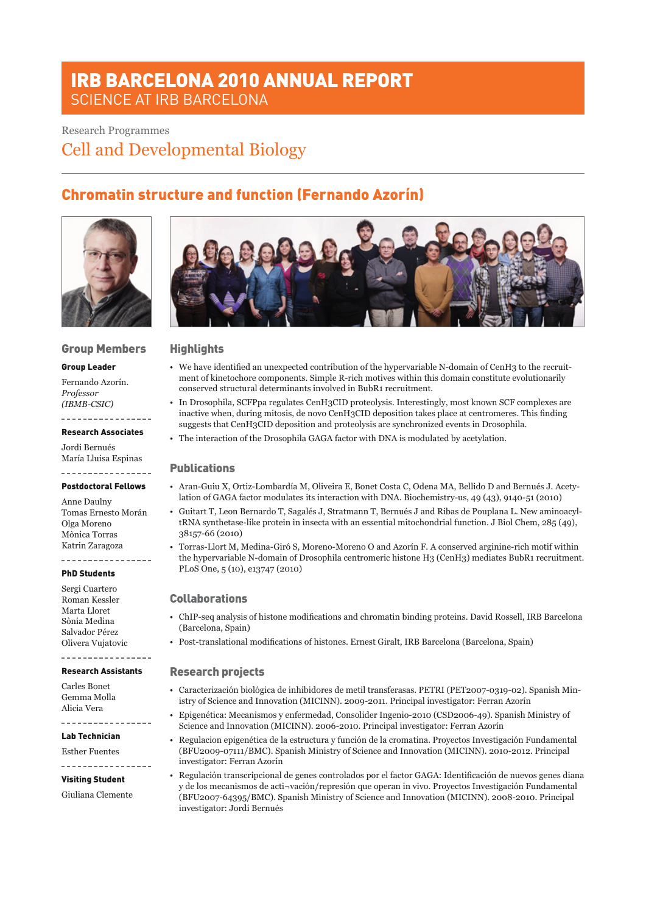# IRB BARCELONA 2010 ANNUAL REPORT SCIENCE AT IRB BARCELONA

# Research Programmes

Cell and Developmental Biology

# Chromatin structure and function (Fernando Azorín)



## Group Members

#### Group Leader

Fernando Azorín. *Professor (IBMB-CSIC)*

#### \_\_\_\_\_\_\_\_\_\_\_\_\_\_\_\_\_ Research Associates

Jordi Bernués María Lluisa Espinas

#### -----------------Postdoctoral Fellows

Anne Daulny Tomas Ernesto Morán Olga Moreno Mònica Torras Katrin Zaragoza . . . . . . . . . . . . .

#### PhD Students

Sergi Cuartero Roman Kessler Marta Lloret Sònia Medina Salvador Pérez Olivera Vujatovic

#### ----------------Research Assistants

Carles Bonet Gemma Molla Alicia Vera

Lab Technician

Esther Fuentes

# \_\_\_\_\_\_\_\_\_\_\_\_\_\_\_\_\_

#### Visiting Student

Giuliana Clemente



## **Highlights**

- • We have identified an unexpected contribution of the hypervariable N-domain of CenH3 to the recruitment of kinetochore components. Simple R-rich motives within this domain constitute evolutionarily conserved structural determinants involved in BubR1 recruitment.
- • In Drosophila, SCFPpa regulates CenH3CID proteolysis. Interestingly, most known SCF complexes are inactive when, during mitosis, de novo CenH3CID deposition takes place at centromeres. This finding suggests that CenH3CID deposition and proteolysis are synchronized events in Drosophila.
- • The interaction of the Drosophila GAGA factor with DNA is modulated by acetylation.

## **Publications**

- • Aran-Guiu X, Ortiz-Lombardía M, Oliveira E, Bonet Costa C, Odena MA, Bellido D and Bernués J. Acetylation of GAGA factor modulates its interaction with DNA. Biochemistry-us, 49 (43), 9140-51 (2010)
- Guitart T, Leon Bernardo T, Sagalés J, Stratmann T, Bernués J and Ribas de Pouplana L. New aminoacyltRNA synthetase-like protein in insecta with an essential mitochondrial function. J Biol Chem, 285 (49), 38157-66 (2010)
- • Torras-Llort M, Medina-Giró S, Moreno-Moreno O and Azorín F. A conserved arginine-rich motif within the hypervariable N-domain of Drosophila centromeric histone H3 (CenH3) mediates BubR1 recruitment. PLoS One, 5 (10), e13747 (2010)

## Collaborations

- • ChIP-seq analysis of histone modifications and chromatin binding proteins. David Rossell, IRB Barcelona (Barcelona, Spain)
- • Post-translational modifications of histones. Ernest Giralt, IRB Barcelona (Barcelona, Spain)

## Research projects

- • Caracterización biológica de inhibidores de metil transferasas. PETRI (PET2007-0319-02). Spanish Ministry of Science and Innovation (MICINN). 2009-2011. Principal investigator: Ferran Azorín
- • Epigenética: Mecanismos y enfermedad, Consolider Ingenio-2010 (CSD2006-49). Spanish Ministry of Science and Innovation (MICINN). 2006-2010. Principal investigator: Ferran Azorín
- • Regulacion epigenética de la estructura y función de la cromatina. Proyectos Investigación Fundamental (BFU2009-07111/BMC). Spanish Ministry of Science and Innovation (MICINN). 2010-2012. Principal investigator: Ferran Azorín
- • Regulación transcripcional de genes controlados por el factor GAGA: Identificación de nuevos genes diana y de los mecanismos de acti¬vación/represión que operan in vivo. Proyectos Investigación Fundamental (BFU2007-64395/BMC). Spanish Ministry of Science and Innovation (MICINN). 2008-2010. Principal investigator: Jordi Bernués